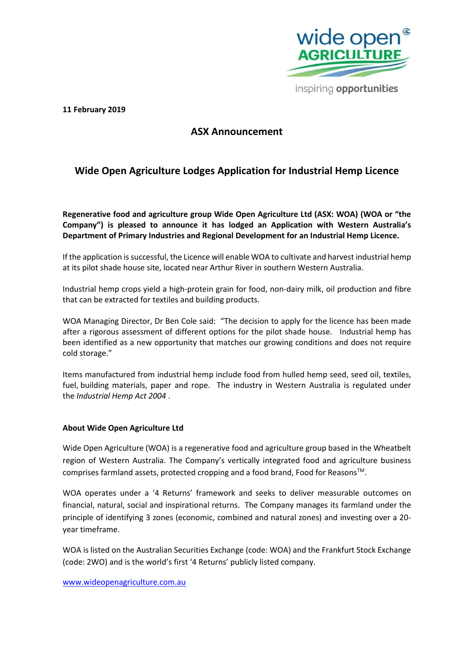

inspiring opportunities

**11 February 2019** 

## **ASX Announcement**

# **Wide Open Agriculture Lodges Application for Industrial Hemp Licence**

**Regenerative food and agriculture group Wide Open Agriculture Ltd (ASX: WOA) (WOA or "the Company") is pleased to announce it has lodged an Application with Western Australia's Department of Primary Industries and Regional Development for an Industrial Hemp Licence.**

If the application is successful, the Licence will enable WOA to cultivate and harvest industrial hemp at its pilot shade house site, located near Arthur River in southern Western Australia.

Industrial hemp crops yield a high-protein grain for food, non-dairy milk, oil production and fibre that can be extracted for textiles and building products.

WOA Managing Director, Dr Ben Cole said: "The decision to apply for the licence has been made after a rigorous assessment of different options for the pilot shade house. Industrial hemp has been identified as a new opportunity that matches our growing conditions and does not require cold storage."

Items manufactured from industrial hemp include food from hulled hemp seed, seed oil, textiles, fuel, building materials, paper and rope. The industry in Western Australia is regulated under the *[Industrial Hemp Act 2004](https://www.legislation.wa.gov.au/legislation/statutes.nsf/main_mrtitle_449_homepage.html)* .

#### **About Wide Open Agriculture Ltd**

Wide Open Agriculture (WOA) is a regenerative food and agriculture group based in the Wheatbelt region of Western Australia. The Company's vertically integrated food and agriculture business comprises farmland assets, protected cropping and a food brand, Food for Reasons™.

WOA operates under a '4 Returns' framework and seeks to deliver measurable outcomes on financial, natural, social and inspirational returns. The Company manages its farmland under the principle of identifying 3 zones (economic, combined and natural zones) and investing over a 20 year timeframe.

WOA is listed on the Australian Securities Exchange (code: WOA) and the Frankfurt Stock Exchange (code: 2WO) and is the world's first '4 Returns' publicly listed company.

#### [www.wideopenagriculture.com.au](http://www.wideopenagriculture.com.au/)